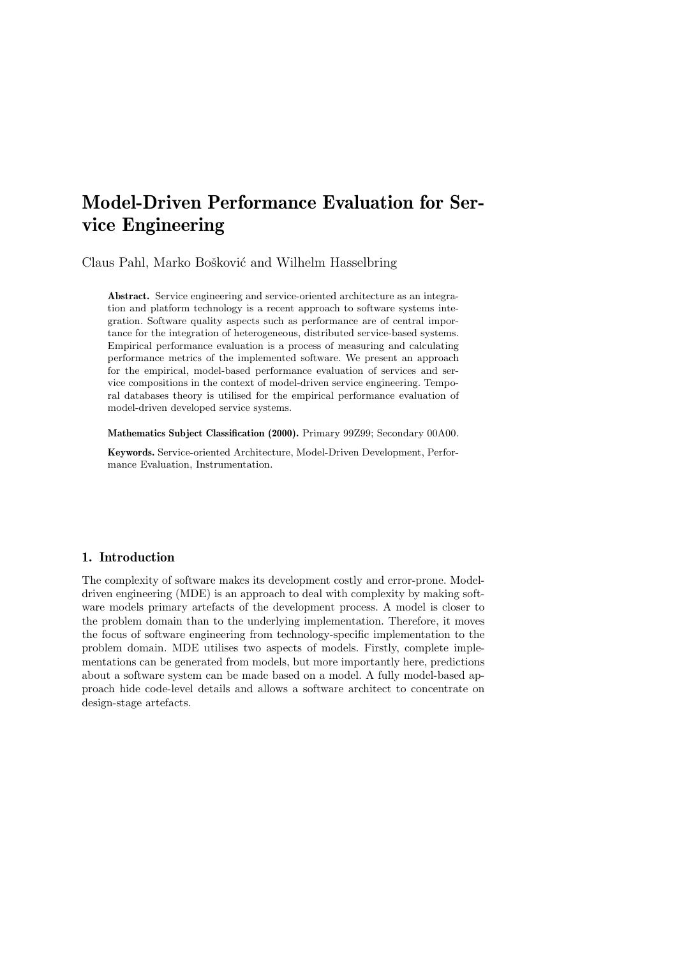# Model-Driven Performance Evaluation for Service Engineering

Claus Pahl, Marko Bošković and Wilhelm Hasselbring

Abstract. Service engineering and service-oriented architecture as an integration and platform technology is a recent approach to software systems integration. Software quality aspects such as performance are of central importance for the integration of heterogeneous, distributed service-based systems. Empirical performance evaluation is a process of measuring and calculating performance metrics of the implemented software. We present an approach for the empirical, model-based performance evaluation of services and service compositions in the context of model-driven service engineering. Temporal databases theory is utilised for the empirical performance evaluation of model-driven developed service systems.

Mathematics Subject Classification (2000). Primary 99Z99; Secondary 00A00.

Keywords. Service-oriented Architecture, Model-Driven Development, Performance Evaluation, Instrumentation.

# 1. Introduction

The complexity of software makes its development costly and error-prone. Modeldriven engineering (MDE) is an approach to deal with complexity by making software models primary artefacts of the development process. A model is closer to the problem domain than to the underlying implementation. Therefore, it moves the focus of software engineering from technology-specific implementation to the problem domain. MDE utilises two aspects of models. Firstly, complete implementations can be generated from models, but more importantly here, predictions about a software system can be made based on a model. A fully model-based approach hide code-level details and allows a software architect to concentrate on design-stage artefacts.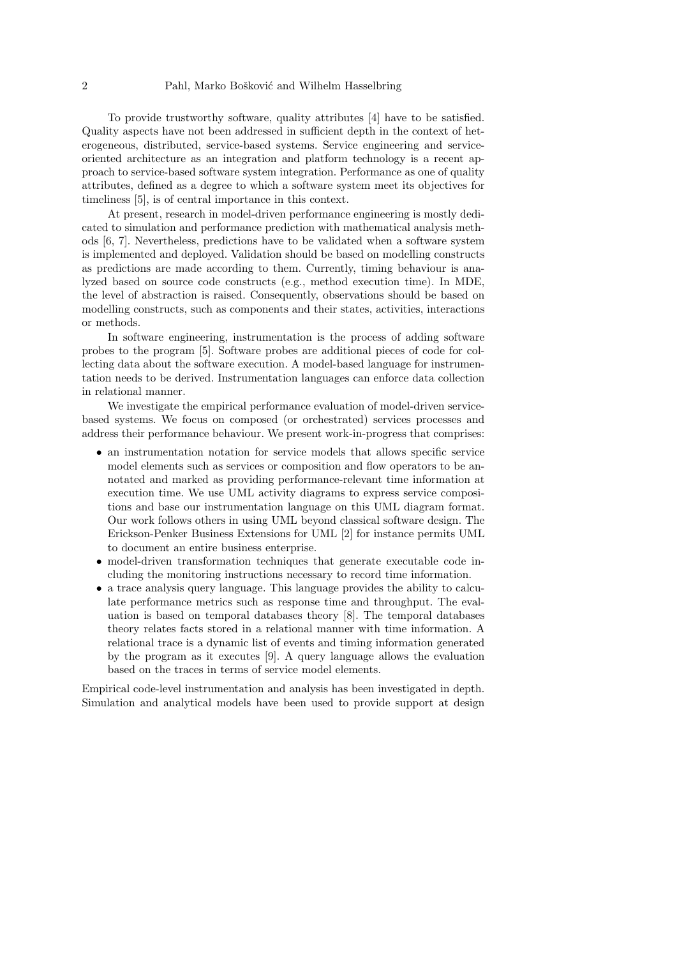### 2 Pahl, Marko Bošković and Wilhelm Hasselbring

To provide trustworthy software, quality attributes [4] have to be satisfied. Quality aspects have not been addressed in sufficient depth in the context of heterogeneous, distributed, service-based systems. Service engineering and serviceoriented architecture as an integration and platform technology is a recent approach to service-based software system integration. Performance as one of quality attributes, defined as a degree to which a software system meet its objectives for timeliness [5], is of central importance in this context.

At present, research in model-driven performance engineering is mostly dedicated to simulation and performance prediction with mathematical analysis methods [6, 7]. Nevertheless, predictions have to be validated when a software system is implemented and deployed. Validation should be based on modelling constructs as predictions are made according to them. Currently, timing behaviour is analyzed based on source code constructs (e.g., method execution time). In MDE, the level of abstraction is raised. Consequently, observations should be based on modelling constructs, such as components and their states, activities, interactions or methods.

In software engineering, instrumentation is the process of adding software probes to the program [5]. Software probes are additional pieces of code for collecting data about the software execution. A model-based language for instrumentation needs to be derived. Instrumentation languages can enforce data collection in relational manner.

We investigate the empirical performance evaluation of model-driven servicebased systems. We focus on composed (or orchestrated) services processes and address their performance behaviour. We present work-in-progress that comprises:

- an instrumentation notation for service models that allows specific service model elements such as services or composition and flow operators to be annotated and marked as providing performance-relevant time information at execution time. We use UML activity diagrams to express service compositions and base our instrumentation language on this UML diagram format. Our work follows others in using UML beyond classical software design. The Erickson-Penker Business Extensions for UML [2] for instance permits UML to document an entire business enterprise.
- model-driven transformation techniques that generate executable code including the monitoring instructions necessary to record time information.
- a trace analysis query language. This language provides the ability to calculate performance metrics such as response time and throughput. The evaluation is based on temporal databases theory [8]. The temporal databases theory relates facts stored in a relational manner with time information. A relational trace is a dynamic list of events and timing information generated by the program as it executes [9]. A query language allows the evaluation based on the traces in terms of service model elements.

Empirical code-level instrumentation and analysis has been investigated in depth. Simulation and analytical models have been used to provide support at design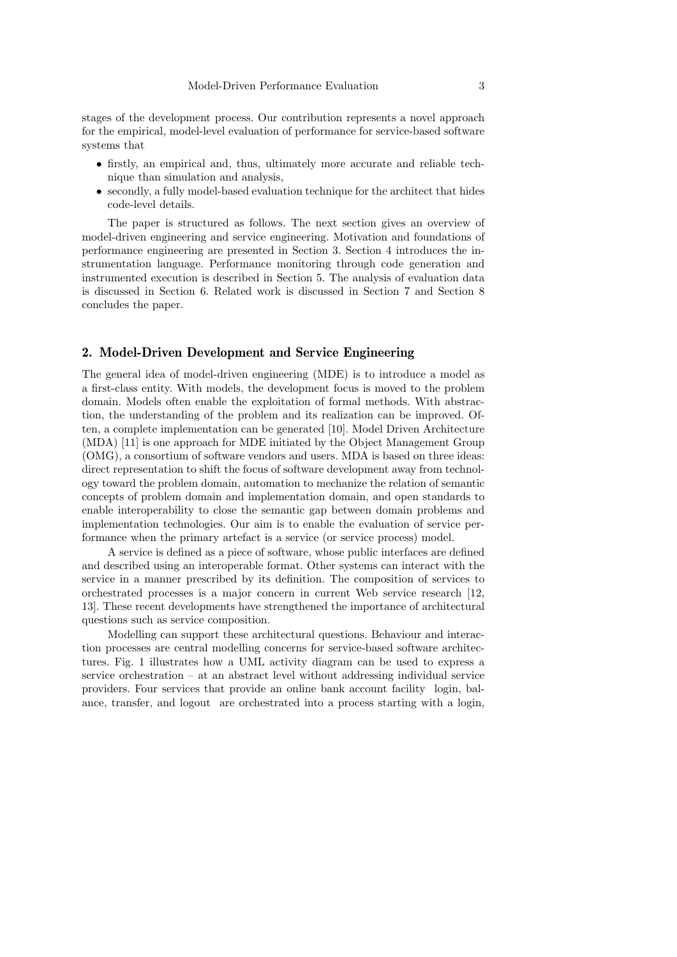stages of the development process. Our contribution represents a novel approach for the empirical, model-level evaluation of performance for service-based software systems that

- firstly, an empirical and, thus, ultimately more accurate and reliable technique than simulation and analysis,
- secondly, a fully model-based evaluation technique for the architect that hides code-level details.

The paper is structured as follows. The next section gives an overview of model-driven engineering and service engineering. Motivation and foundations of performance engineering are presented in Section 3. Section 4 introduces the instrumentation language. Performance monitoring through code generation and instrumented execution is described in Section 5. The analysis of evaluation data is discussed in Section 6. Related work is discussed in Section 7 and Section 8 concludes the paper.

# 2. Model-Driven Development and Service Engineering

The general idea of model-driven engineering (MDE) is to introduce a model as a first-class entity. With models, the development focus is moved to the problem domain. Models often enable the exploitation of formal methods. With abstraction, the understanding of the problem and its realization can be improved. Often, a complete implementation can be generated [10]. Model Driven Architecture (MDA) [11] is one approach for MDE initiated by the Object Management Group (OMG), a consortium of software vendors and users. MDA is based on three ideas: direct representation to shift the focus of software development away from technology toward the problem domain, automation to mechanize the relation of semantic concepts of problem domain and implementation domain, and open standards to enable interoperability to close the semantic gap between domain problems and implementation technologies. Our aim is to enable the evaluation of service performance when the primary artefact is a service (or service process) model.

A service is defined as a piece of software, whose public interfaces are defined and described using an interoperable format. Other systems can interact with the service in a manner prescribed by its definition. The composition of services to orchestrated processes is a major concern in current Web service research [12, 13]. These recent developments have strengthened the importance of architectural questions such as service composition.

Modelling can support these architectural questions. Behaviour and interaction processes are central modelling concerns for service-based software architectures. Fig. 1 illustrates how a UML activity diagram can be used to express a service orchestration – at an abstract level without addressing individual service providers. Four services that provide an online bank account facility login, balance, transfer, and logout are orchestrated into a process starting with a login,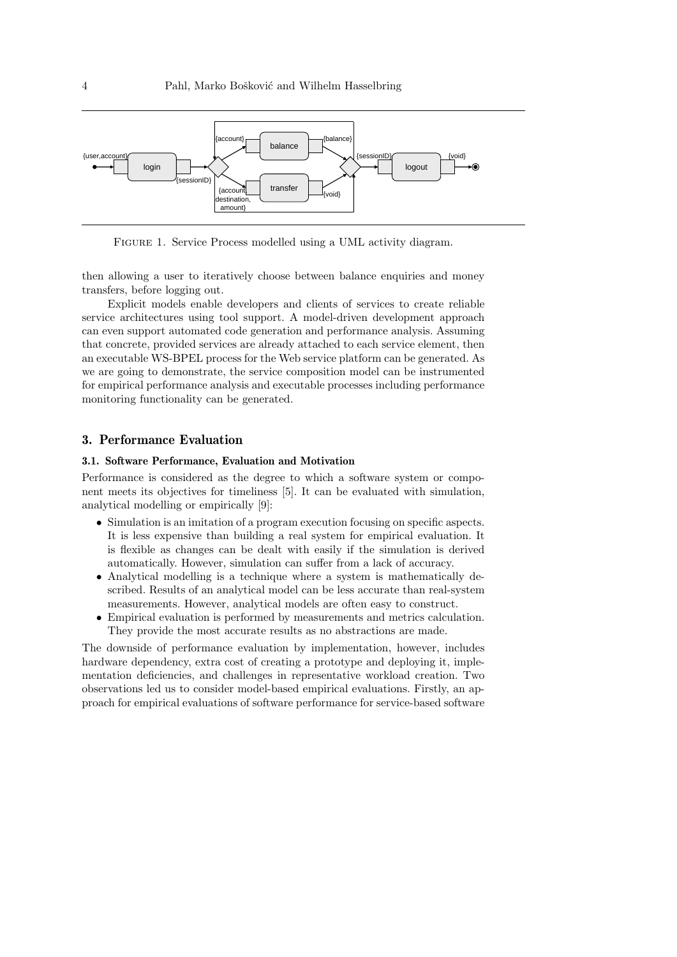

FIGURE 1. Service Process modelled using a UML activity diagram.

then allowing a user to iteratively choose between balance enquiries and money transfers, before logging out.

Explicit models enable developers and clients of services to create reliable service architectures using tool support. A model-driven development approach can even support automated code generation and performance analysis. Assuming that concrete, provided services are already attached to each service element, then an executable WS-BPEL process for the Web service platform can be generated. As we are going to demonstrate, the service composition model can be instrumented for empirical performance analysis and executable processes including performance monitoring functionality can be generated.

# 3. Performance Evaluation

#### 3.1. Software Performance, Evaluation and Motivation

Performance is considered as the degree to which a software system or component meets its objectives for timeliness [5]. It can be evaluated with simulation, analytical modelling or empirically [9]:

- Simulation is an imitation of a program execution focusing on specific aspects. It is less expensive than building a real system for empirical evaluation. It is flexible as changes can be dealt with easily if the simulation is derived automatically. However, simulation can suffer from a lack of accuracy.
- Analytical modelling is a technique where a system is mathematically described. Results of an analytical model can be less accurate than real-system measurements. However, analytical models are often easy to construct.
- Empirical evaluation is performed by measurements and metrics calculation. They provide the most accurate results as no abstractions are made.

The downside of performance evaluation by implementation, however, includes hardware dependency, extra cost of creating a prototype and deploying it, implementation deficiencies, and challenges in representative workload creation. Two observations led us to consider model-based empirical evaluations. Firstly, an approach for empirical evaluations of software performance for service-based software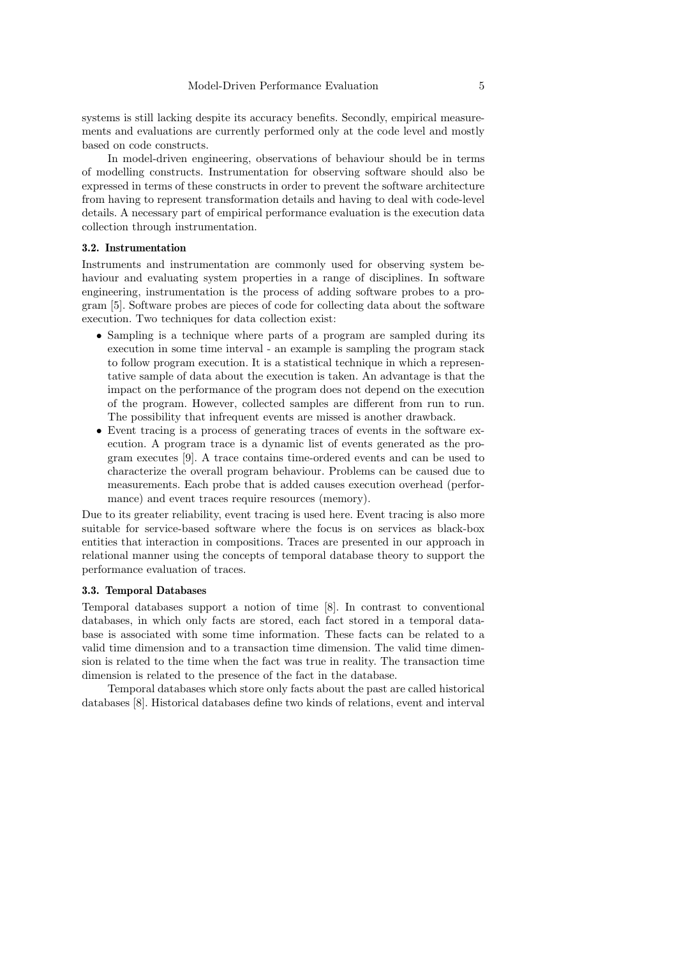systems is still lacking despite its accuracy benefits. Secondly, empirical measurements and evaluations are currently performed only at the code level and mostly based on code constructs.

In model-driven engineering, observations of behaviour should be in terms of modelling constructs. Instrumentation for observing software should also be expressed in terms of these constructs in order to prevent the software architecture from having to represent transformation details and having to deal with code-level details. A necessary part of empirical performance evaluation is the execution data collection through instrumentation.

## 3.2. Instrumentation

Instruments and instrumentation are commonly used for observing system behaviour and evaluating system properties in a range of disciplines. In software engineering, instrumentation is the process of adding software probes to a program [5]. Software probes are pieces of code for collecting data about the software execution. Two techniques for data collection exist:

- Sampling is a technique where parts of a program are sampled during its execution in some time interval - an example is sampling the program stack to follow program execution. It is a statistical technique in which a representative sample of data about the execution is taken. An advantage is that the impact on the performance of the program does not depend on the execution of the program. However, collected samples are different from run to run. The possibility that infrequent events are missed is another drawback.
- Event tracing is a process of generating traces of events in the software execution. A program trace is a dynamic list of events generated as the program executes [9]. A trace contains time-ordered events and can be used to characterize the overall program behaviour. Problems can be caused due to measurements. Each probe that is added causes execution overhead (performance) and event traces require resources (memory).

Due to its greater reliability, event tracing is used here. Event tracing is also more suitable for service-based software where the focus is on services as black-box entities that interaction in compositions. Traces are presented in our approach in relational manner using the concepts of temporal database theory to support the performance evaluation of traces.

## 3.3. Temporal Databases

Temporal databases support a notion of time [8]. In contrast to conventional databases, in which only facts are stored, each fact stored in a temporal database is associated with some time information. These facts can be related to a valid time dimension and to a transaction time dimension. The valid time dimension is related to the time when the fact was true in reality. The transaction time dimension is related to the presence of the fact in the database.

Temporal databases which store only facts about the past are called historical databases [8]. Historical databases define two kinds of relations, event and interval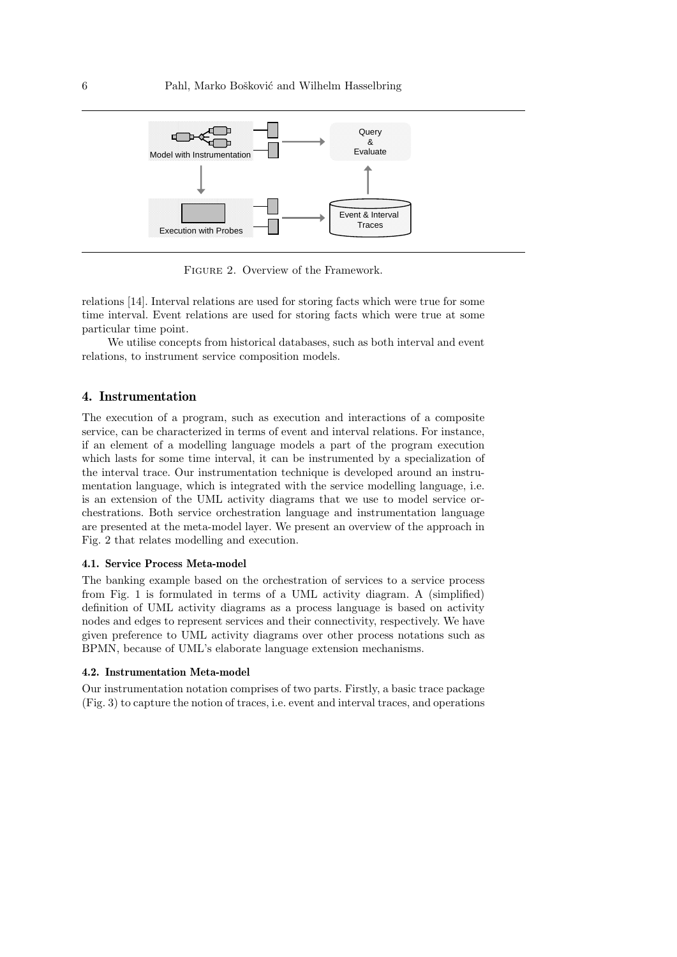

Figure 2. Overview of the Framework.

relations [14]. Interval relations are used for storing facts which were true for some time interval. Event relations are used for storing facts which were true at some particular time point.

We utilise concepts from historical databases, such as both interval and event relations, to instrument service composition models.

# 4. Instrumentation

The execution of a program, such as execution and interactions of a composite service, can be characterized in terms of event and interval relations. For instance, if an element of a modelling language models a part of the program execution which lasts for some time interval, it can be instrumented by a specialization of the interval trace. Our instrumentation technique is developed around an instrumentation language, which is integrated with the service modelling language, i.e. is an extension of the UML activity diagrams that we use to model service orchestrations. Both service orchestration language and instrumentation language are presented at the meta-model layer. We present an overview of the approach in Fig. 2 that relates modelling and execution.

### 4.1. Service Process Meta-model

The banking example based on the orchestration of services to a service process from Fig. 1 is formulated in terms of a UML activity diagram. A (simplified) definition of UML activity diagrams as a process language is based on activity nodes and edges to represent services and their connectivity, respectively. We have given preference to UML activity diagrams over other process notations such as BPMN, because of UML's elaborate language extension mechanisms.

#### 4.2. Instrumentation Meta-model

Our instrumentation notation comprises of two parts. Firstly, a basic trace package (Fig. 3) to capture the notion of traces, i.e. event and interval traces, and operations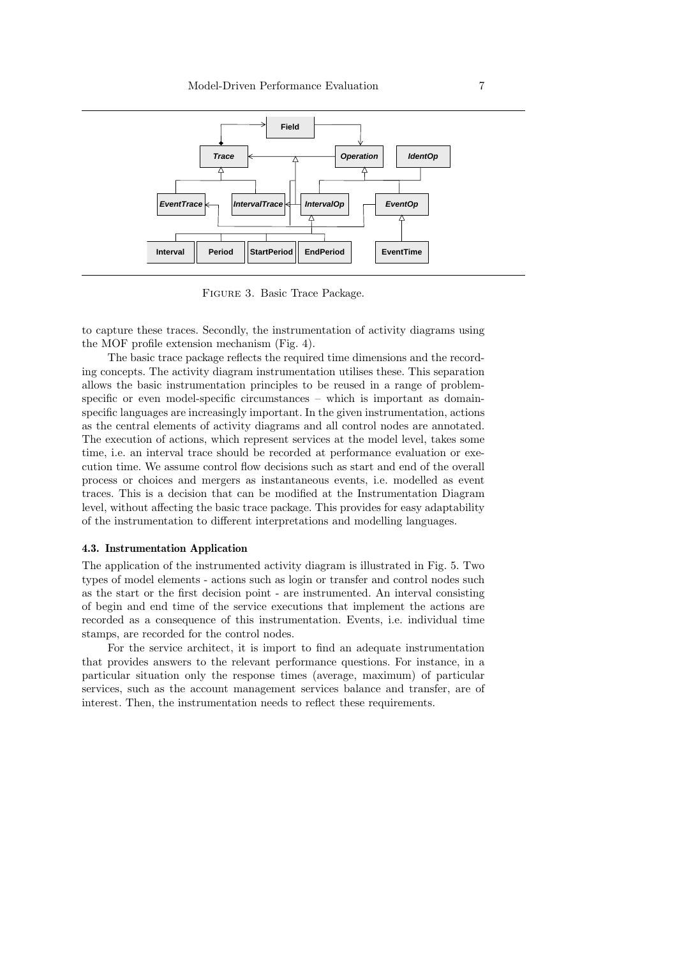

Figure 3. Basic Trace Package.

to capture these traces. Secondly, the instrumentation of activity diagrams using the MOF profile extension mechanism (Fig. 4).

The basic trace package reflects the required time dimensions and the recording concepts. The activity diagram instrumentation utilises these. This separation allows the basic instrumentation principles to be reused in a range of problemspecific or even model-specific circumstances – which is important as domainspecific languages are increasingly important. In the given instrumentation, actions as the central elements of activity diagrams and all control nodes are annotated. The execution of actions, which represent services at the model level, takes some time, i.e. an interval trace should be recorded at performance evaluation or execution time. We assume control flow decisions such as start and end of the overall process or choices and mergers as instantaneous events, i.e. modelled as event traces. This is a decision that can be modified at the Instrumentation Diagram level, without affecting the basic trace package. This provides for easy adaptability of the instrumentation to different interpretations and modelling languages.

#### 4.3. Instrumentation Application

The application of the instrumented activity diagram is illustrated in Fig. 5. Two types of model elements - actions such as login or transfer and control nodes such as the start or the first decision point - are instrumented. An interval consisting of begin and end time of the service executions that implement the actions are recorded as a consequence of this instrumentation. Events, i.e. individual time stamps, are recorded for the control nodes.

For the service architect, it is import to find an adequate instrumentation that provides answers to the relevant performance questions. For instance, in a particular situation only the response times (average, maximum) of particular services, such as the account management services balance and transfer, are of interest. Then, the instrumentation needs to reflect these requirements.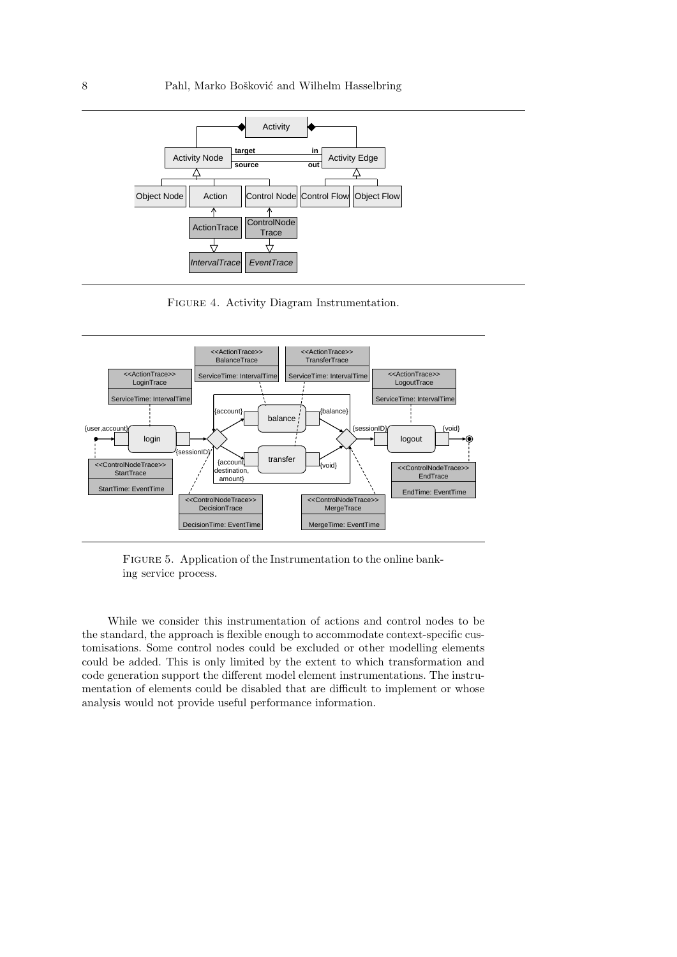

Figure 4. Activity Diagram Instrumentation.



FIGURE 5. Application of the Instrumentation to the online banking service process.

While we consider this instrumentation of actions and control nodes to be the standard, the approach is flexible enough to accommodate context-specific customisations. Some control nodes could be excluded or other modelling elements could be added. This is only limited by the extent to which transformation and code generation support the different model element instrumentations. The instrumentation of elements could be disabled that are difficult to implement or whose analysis would not provide useful performance information.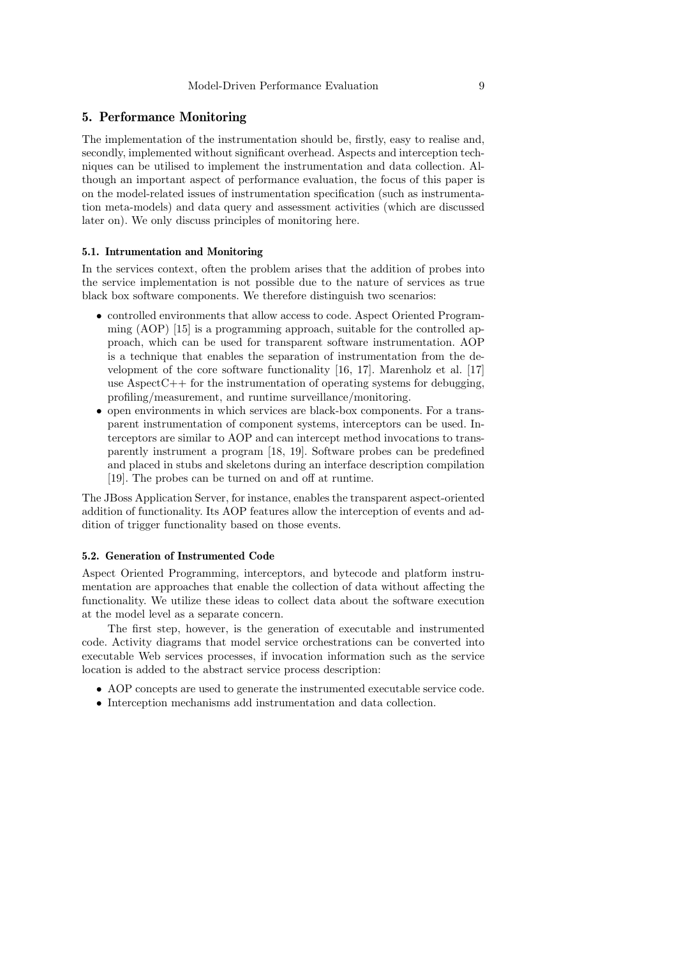# 5. Performance Monitoring

The implementation of the instrumentation should be, firstly, easy to realise and, secondly, implemented without significant overhead. Aspects and interception techniques can be utilised to implement the instrumentation and data collection. Although an important aspect of performance evaluation, the focus of this paper is on the model-related issues of instrumentation specification (such as instrumentation meta-models) and data query and assessment activities (which are discussed later on). We only discuss principles of monitoring here.

## 5.1. Intrumentation and Monitoring

In the services context, often the problem arises that the addition of probes into the service implementation is not possible due to the nature of services as true black box software components. We therefore distinguish two scenarios:

- controlled environments that allow access to code. Aspect Oriented Programming (AOP) [15] is a programming approach, suitable for the controlled approach, which can be used for transparent software instrumentation. AOP is a technique that enables the separation of instrumentation from the development of the core software functionality [16, 17]. Marenholz et al. [17] use Aspect $C_{++}$  for the instrumentation of operating systems for debugging, profiling/measurement, and runtime surveillance/monitoring.
- open environments in which services are black-box components. For a transparent instrumentation of component systems, interceptors can be used. Interceptors are similar to AOP and can intercept method invocations to transparently instrument a program [18, 19]. Software probes can be predefined and placed in stubs and skeletons during an interface description compilation [19]. The probes can be turned on and off at runtime.

The JBoss Application Server, for instance, enables the transparent aspect-oriented addition of functionality. Its AOP features allow the interception of events and addition of trigger functionality based on those events.

## 5.2. Generation of Instrumented Code

Aspect Oriented Programming, interceptors, and bytecode and platform instrumentation are approaches that enable the collection of data without affecting the functionality. We utilize these ideas to collect data about the software execution at the model level as a separate concern.

The first step, however, is the generation of executable and instrumented code. Activity diagrams that model service orchestrations can be converted into executable Web services processes, if invocation information such as the service location is added to the abstract service process description:

- AOP concepts are used to generate the instrumented executable service code.
- Interception mechanisms add instrumentation and data collection.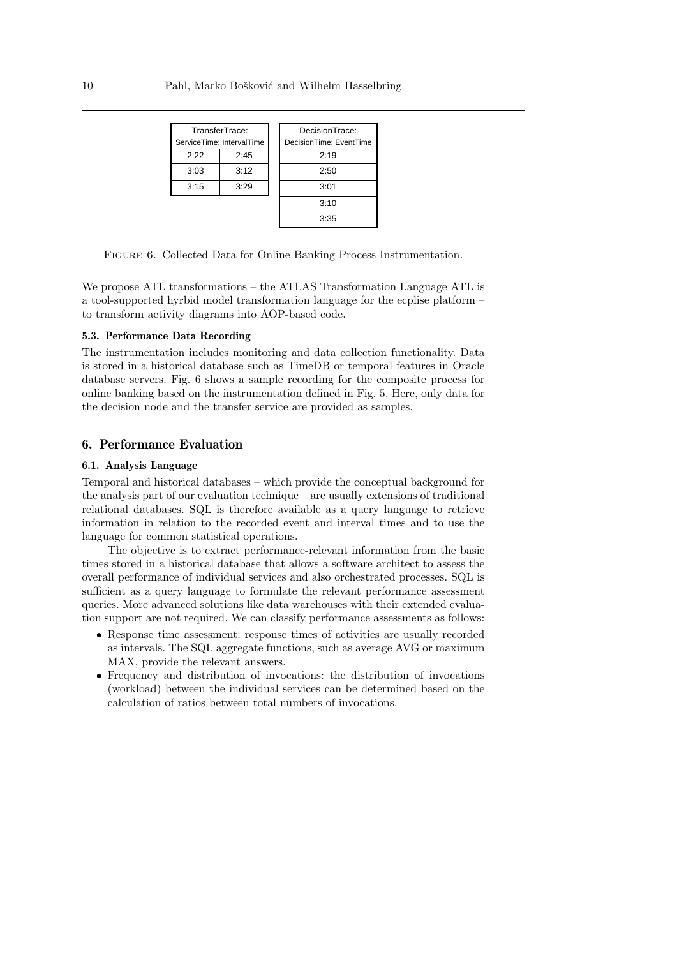| TransferTrace:            |      | DecisionTrace:          |
|---------------------------|------|-------------------------|
| ServiceTime: IntervalTime |      | DecisionTime: EventTime |
| 2.22                      | 2:45 | 2:19                    |
| 3:03                      | 3:12 | 2:50                    |
| 3:15                      | 3:29 | 3:01                    |
|                           |      | 3:10                    |
|                           |      | 3:35                    |
|                           |      |                         |

Figure 6. Collected Data for Online Banking Process Instrumentation.

We propose ATL transformations – the ATLAS Transformation Language ATL is a tool-supported hyrbid model transformation language for the ecplise platform – to transform activity diagrams into AOP-based code.

# 5.3. Performance Data Recording

The instrumentation includes monitoring and data collection functionality. Data is stored in a historical database such as TimeDB or temporal features in Oracle database servers. Fig. 6 shows a sample recording for the composite process for online banking based on the instrumentation defined in Fig. 5. Here, only data for the decision node and the transfer service are provided as samples.

# 6. Performance Evaluation

## 6.1. Analysis Language

Temporal and historical databases – which provide the conceptual background for the analysis part of our evaluation technique – are usually extensions of traditional relational databases. SQL is therefore available as a query language to retrieve information in relation to the recorded event and interval times and to use the language for common statistical operations.

The objective is to extract performance-relevant information from the basic times stored in a historical database that allows a software architect to assess the overall performance of individual services and also orchestrated processes. SQL is sufficient as a query language to formulate the relevant performance assessment queries. More advanced solutions like data warehouses with their extended evaluation support are not required. We can classify performance assessments as follows:

- Response time assessment: response times of activities are usually recorded as intervals. The SQL aggregate functions, such as average AVG or maximum MAX, provide the relevant answers.
- Frequency and distribution of invocations: the distribution of invocations (workload) between the individual services can be determined based on the calculation of ratios between total numbers of invocations.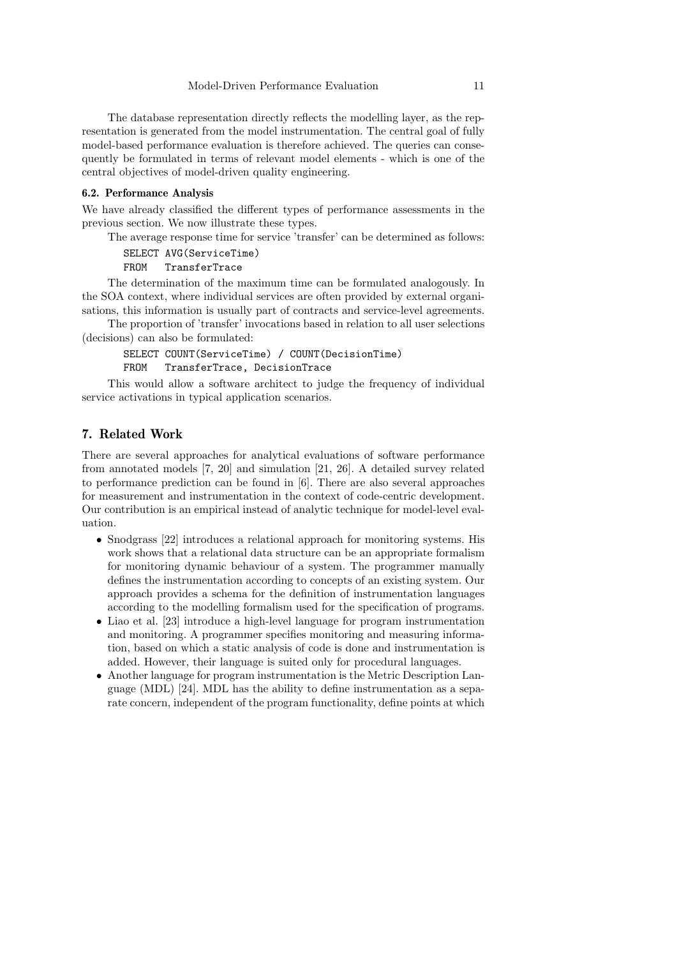The database representation directly reflects the modelling layer, as the representation is generated from the model instrumentation. The central goal of fully model-based performance evaluation is therefore achieved. The queries can consequently be formulated in terms of relevant model elements - which is one of the central objectives of model-driven quality engineering.

## 6.2. Performance Analysis

We have already classified the different types of performance assessments in the previous section. We now illustrate these types.

The average response time for service 'transfer' can be determined as follows:

SELECT AVG(ServiceTime)

FROM TransferTrace

The determination of the maximum time can be formulated analogously. In the SOA context, where individual services are often provided by external organisations, this information is usually part of contracts and service-level agreements.

The proportion of 'transfer' invocations based in relation to all user selections (decisions) can also be formulated:

SELECT COUNT(ServiceTime) / COUNT(DecisionTime) FROM TransferTrace, DecisionTrace

This would allow a software architect to judge the frequency of individual service activations in typical application scenarios.

# 7. Related Work

There are several approaches for analytical evaluations of software performance from annotated models [7, 20] and simulation [21, 26]. A detailed survey related to performance prediction can be found in [6]. There are also several approaches for measurement and instrumentation in the context of code-centric development. Our contribution is an empirical instead of analytic technique for model-level evaluation.

- Snodgrass [22] introduces a relational approach for monitoring systems. His work shows that a relational data structure can be an appropriate formalism for monitoring dynamic behaviour of a system. The programmer manually defines the instrumentation according to concepts of an existing system. Our approach provides a schema for the definition of instrumentation languages according to the modelling formalism used for the specification of programs.
- Liao et al. [23] introduce a high-level language for program instrumentation and monitoring. A programmer specifies monitoring and measuring information, based on which a static analysis of code is done and instrumentation is added. However, their language is suited only for procedural languages.
- Another language for program instrumentation is the Metric Description Language (MDL) [24]. MDL has the ability to define instrumentation as a separate concern, independent of the program functionality, define points at which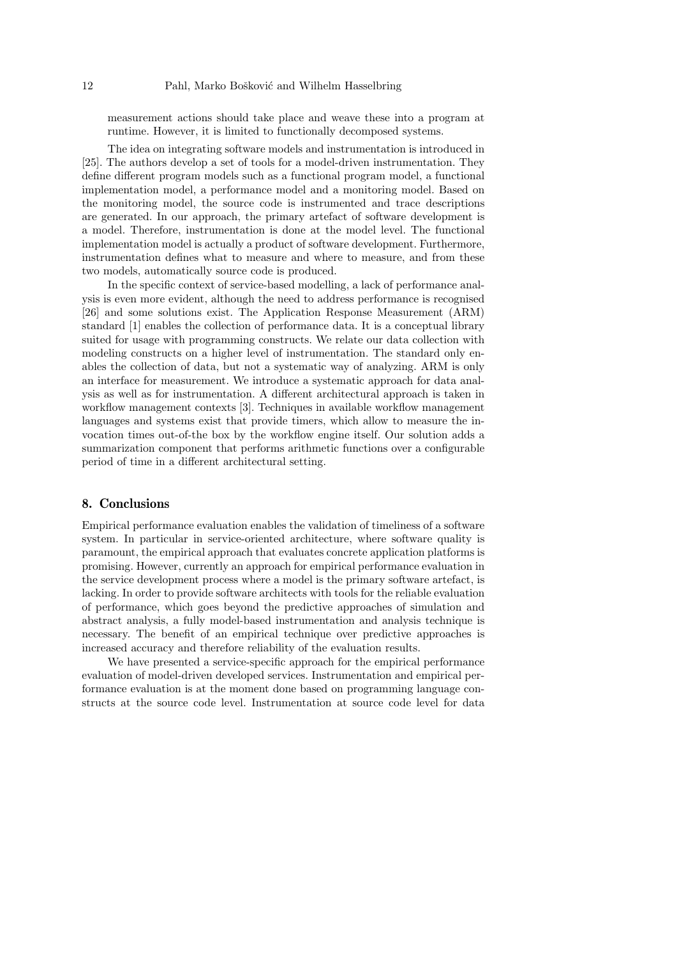measurement actions should take place and weave these into a program at runtime. However, it is limited to functionally decomposed systems.

The idea on integrating software models and instrumentation is introduced in [25]. The authors develop a set of tools for a model-driven instrumentation. They define different program models such as a functional program model, a functional implementation model, a performance model and a monitoring model. Based on the monitoring model, the source code is instrumented and trace descriptions are generated. In our approach, the primary artefact of software development is a model. Therefore, instrumentation is done at the model level. The functional implementation model is actually a product of software development. Furthermore, instrumentation defines what to measure and where to measure, and from these two models, automatically source code is produced.

In the specific context of service-based modelling, a lack of performance analysis is even more evident, although the need to address performance is recognised [26] and some solutions exist. The Application Response Measurement (ARM) standard [1] enables the collection of performance data. It is a conceptual library suited for usage with programming constructs. We relate our data collection with modeling constructs on a higher level of instrumentation. The standard only enables the collection of data, but not a systematic way of analyzing. ARM is only an interface for measurement. We introduce a systematic approach for data analysis as well as for instrumentation. A different architectural approach is taken in workflow management contexts [3]. Techniques in available workflow management languages and systems exist that provide timers, which allow to measure the invocation times out-of-the box by the workflow engine itself. Our solution adds a summarization component that performs arithmetic functions over a configurable period of time in a different architectural setting.

# 8. Conclusions

Empirical performance evaluation enables the validation of timeliness of a software system. In particular in service-oriented architecture, where software quality is paramount, the empirical approach that evaluates concrete application platforms is promising. However, currently an approach for empirical performance evaluation in the service development process where a model is the primary software artefact, is lacking. In order to provide software architects with tools for the reliable evaluation of performance, which goes beyond the predictive approaches of simulation and abstract analysis, a fully model-based instrumentation and analysis technique is necessary. The benefit of an empirical technique over predictive approaches is increased accuracy and therefore reliability of the evaluation results.

We have presented a service-specific approach for the empirical performance evaluation of model-driven developed services. Instrumentation and empirical performance evaluation is at the moment done based on programming language constructs at the source code level. Instrumentation at source code level for data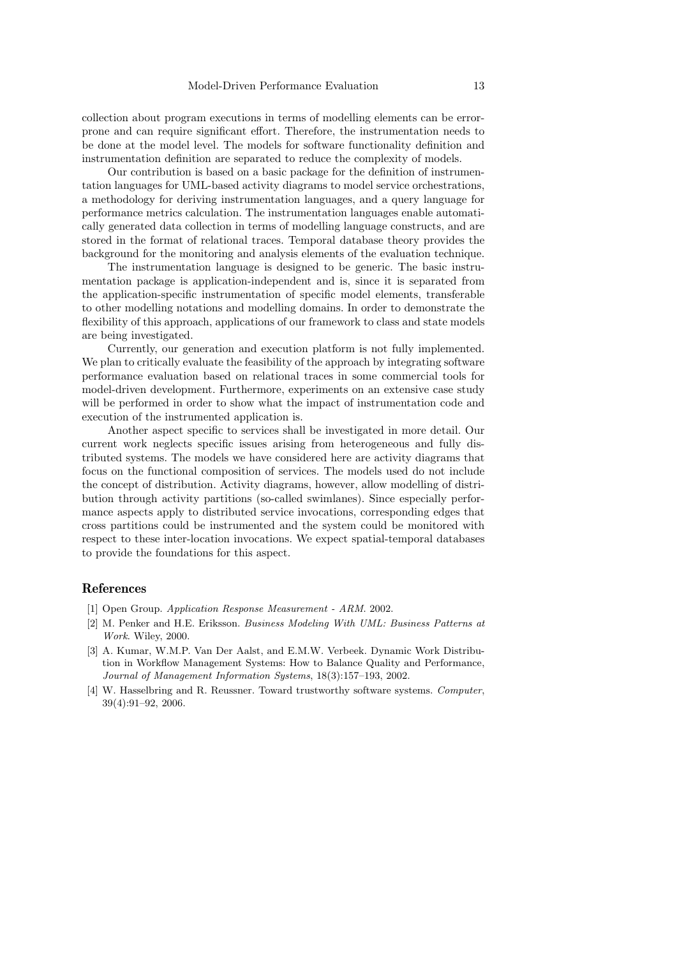collection about program executions in terms of modelling elements can be errorprone and can require significant effort. Therefore, the instrumentation needs to be done at the model level. The models for software functionality definition and instrumentation definition are separated to reduce the complexity of models.

Our contribution is based on a basic package for the definition of instrumentation languages for UML-based activity diagrams to model service orchestrations, a methodology for deriving instrumentation languages, and a query language for performance metrics calculation. The instrumentation languages enable automatically generated data collection in terms of modelling language constructs, and are stored in the format of relational traces. Temporal database theory provides the background for the monitoring and analysis elements of the evaluation technique.

The instrumentation language is designed to be generic. The basic instrumentation package is application-independent and is, since it is separated from the application-specific instrumentation of specific model elements, transferable to other modelling notations and modelling domains. In order to demonstrate the flexibility of this approach, applications of our framework to class and state models are being investigated.

Currently, our generation and execution platform is not fully implemented. We plan to critically evaluate the feasibility of the approach by integrating software performance evaluation based on relational traces in some commercial tools for model-driven development. Furthermore, experiments on an extensive case study will be performed in order to show what the impact of instrumentation code and execution of the instrumented application is.

Another aspect specific to services shall be investigated in more detail. Our current work neglects specific issues arising from heterogeneous and fully distributed systems. The models we have considered here are activity diagrams that focus on the functional composition of services. The models used do not include the concept of distribution. Activity diagrams, however, allow modelling of distribution through activity partitions (so-called swimlanes). Since especially performance aspects apply to distributed service invocations, corresponding edges that cross partitions could be instrumented and the system could be monitored with respect to these inter-location invocations. We expect spatial-temporal databases to provide the foundations for this aspect.

## References

- [1] Open Group. Application Response Measurement ARM. 2002.
- [2] M. Penker and H.E. Eriksson. Business Modeling With UML: Business Patterns at Work. Wiley, 2000.
- [3] A. Kumar, W.M.P. Van Der Aalst, and E.M.W. Verbeek. Dynamic Work Distribution in Workflow Management Systems: How to Balance Quality and Performance, Journal of Management Information Systems, 18(3):157–193, 2002.
- [4] W. Hasselbring and R. Reussner. Toward trustworthy software systems. Computer, 39(4):91–92, 2006.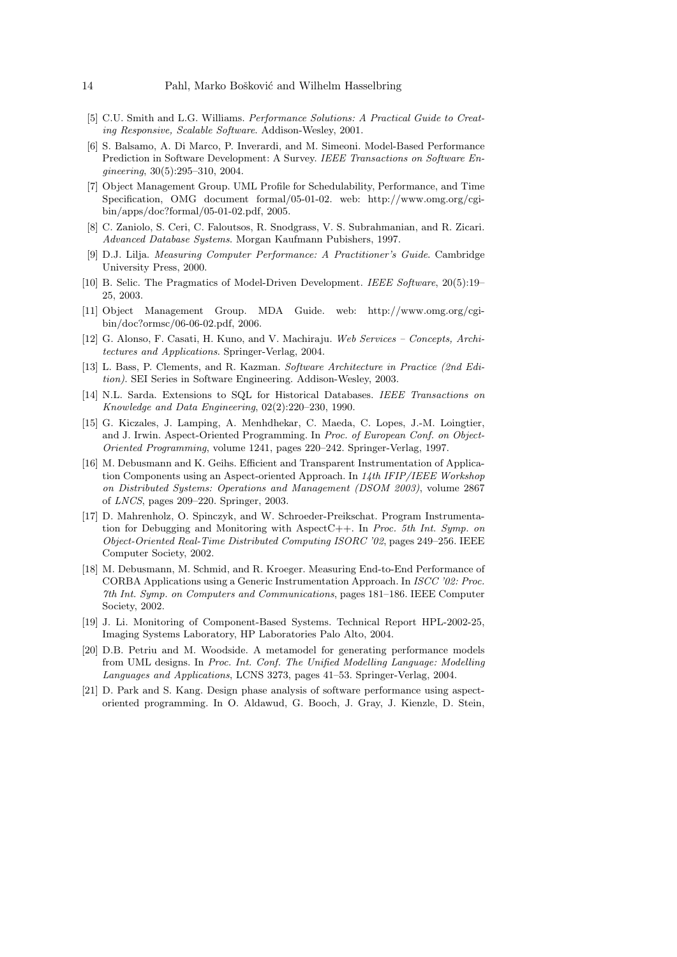### 14 Pahl, Marko Bošković and Wilhelm Hasselbring

- [5] C.U. Smith and L.G. Williams. Performance Solutions: A Practical Guide to Creating Responsive, Scalable Software. Addison-Wesley, 2001.
- [6] S. Balsamo, A. Di Marco, P. Inverardi, and M. Simeoni. Model-Based Performance Prediction in Software Development: A Survey. IEEE Transactions on Software Engineering, 30(5):295–310, 2004.
- [7] Object Management Group. UML Profile for Schedulability, Performance, and Time Specification, OMG document formal/05-01-02. web: http://www.omg.org/cgibin/apps/doc?formal/05-01-02.pdf, 2005.
- [8] C. Zaniolo, S. Ceri, C. Faloutsos, R. Snodgrass, V. S. Subrahmanian, and R. Zicari. Advanced Database Systems. Morgan Kaufmann Pubishers, 1997.
- [9] D.J. Lilja. Measuring Computer Performance: A Practitioner's Guide. Cambridge University Press, 2000.
- [10] B. Selic. The Pragmatics of Model-Driven Development. IEEE Software, 20(5):19– 25, 2003.
- [11] Object Management Group. MDA Guide. web: http://www.omg.org/cgibin/doc?ormsc/06-06-02.pdf, 2006.
- [12] G. Alonso, F. Casati, H. Kuno, and V. Machiraju. Web Services Concepts, Architectures and Applications. Springer-Verlag, 2004.
- [13] L. Bass, P. Clements, and R. Kazman. Software Architecture in Practice (2nd Edition). SEI Series in Software Engineering. Addison-Wesley, 2003.
- [14] N.L. Sarda. Extensions to SQL for Historical Databases. IEEE Transactions on Knowledge and Data Engineering, 02(2):220–230, 1990.
- [15] G. Kiczales, J. Lamping, A. Menhdhekar, C. Maeda, C. Lopes, J.-M. Loingtier, and J. Irwin. Aspect-Oriented Programming. In Proc. of European Conf. on Object-Oriented Programming, volume 1241, pages 220–242. Springer-Verlag, 1997.
- [16] M. Debusmann and K. Geihs. Efficient and Transparent Instrumentation of Application Components using an Aspect-oriented Approach. In 14th IFIP/IEEE Workshop on Distributed Systems: Operations and Management (DSOM 2003), volume 2867 of LNCS, pages 209–220. Springer, 2003.
- [17] D. Mahrenholz, O. Spinczyk, and W. Schroeder-Preikschat. Program Instrumentation for Debugging and Monitoring with AspectC++. In Proc. 5th Int. Symp. on Object-Oriented Real-Time Distributed Computing ISORC '02, pages 249–256. IEEE Computer Society, 2002.
- [18] M. Debusmann, M. Schmid, and R. Kroeger. Measuring End-to-End Performance of CORBA Applications using a Generic Instrumentation Approach. In ISCC '02: Proc. 7th Int. Symp. on Computers and Communications, pages 181–186. IEEE Computer Society, 2002.
- [19] J. Li. Monitoring of Component-Based Systems. Technical Report HPL-2002-25, Imaging Systems Laboratory, HP Laboratories Palo Alto, 2004.
- [20] D.B. Petriu and M. Woodside. A metamodel for generating performance models from UML designs. In Proc. Int. Conf. The Unified Modelling Language: Modelling Languages and Applications, LCNS 3273, pages 41–53. Springer-Verlag, 2004.
- [21] D. Park and S. Kang. Design phase analysis of software performance using aspectoriented programming. In O. Aldawud, G. Booch, J. Gray, J. Kienzle, D. Stein,